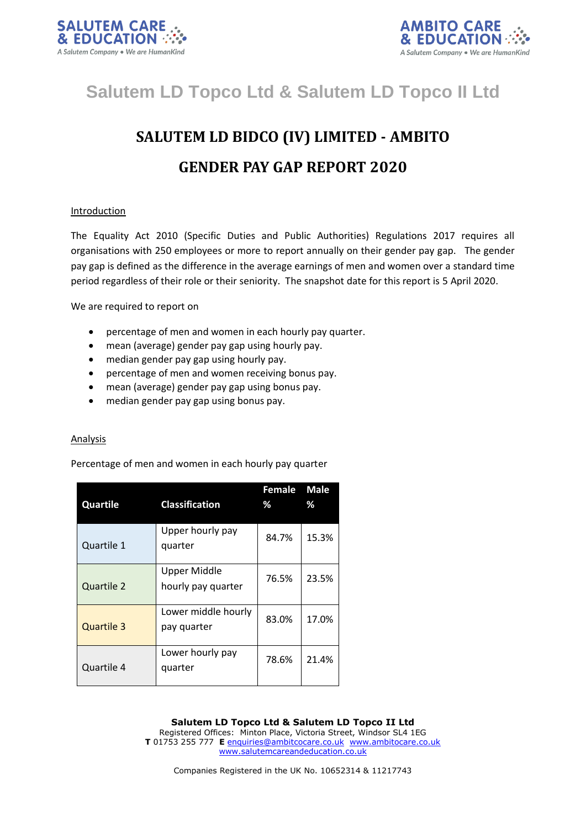



# **Salutem LD Topco Ltd & Salutem LD Topco II Ltd**

# **SALUTEM LD BIDCO (IV) LIMITED - AMBITO GENDER PAY GAP REPORT 2020**

## Introduction

The Equality Act 2010 (Specific Duties and Public Authorities) Regulations 2017 requires all organisations with 250 employees or more to report annually on their gender pay gap. The gender pay gap is defined as the difference in the average earnings of men and women over a standard time period regardless of their role or their seniority. The snapshot date for this report is 5 April 2020.

We are required to report on

- percentage of men and women in each hourly pay quarter.
- mean (average) gender pay gap using hourly pay.
- median gender pay gap using hourly pay.
- percentage of men and women receiving bonus pay.
- mean (average) gender pay gap using bonus pay.
- median gender pay gap using bonus pay.

### Analysis

Percentage of men and women in each hourly pay quarter

| Quartile          | <b>Classification</b>                     | Female<br>% | <b>Male</b><br>% |
|-------------------|-------------------------------------------|-------------|------------------|
| Quartile 1        | Upper hourly pay<br>quarter               | 84.7%       | 15.3%            |
| Quartile 2        | <b>Upper Middle</b><br>hourly pay quarter | 76.5%       | 23.5%            |
| <b>Quartile 3</b> | Lower middle hourly<br>pay quarter        | 83.0%       | 17.0%            |
| Quartile 4        | Lower hourly pay<br>quarter               | 78.6%       | 21.4%            |

**Salutem LD Topco Ltd & Salutem LD Topco II Ltd** Registered Offices: Minton Place, Victoria Street, Windsor SL4 1EG **T** 01753 255 777 **E** [enquiries@ambitcocare.co.uk](mailto:enquiries@ambitcocare.co.uk) [www.ambitocare.co.uk](http://www.ambitocare.co.uk/) www.salutemcareandeducation.co.uk

Companies Registered in the UK No. 10652314 & 11217743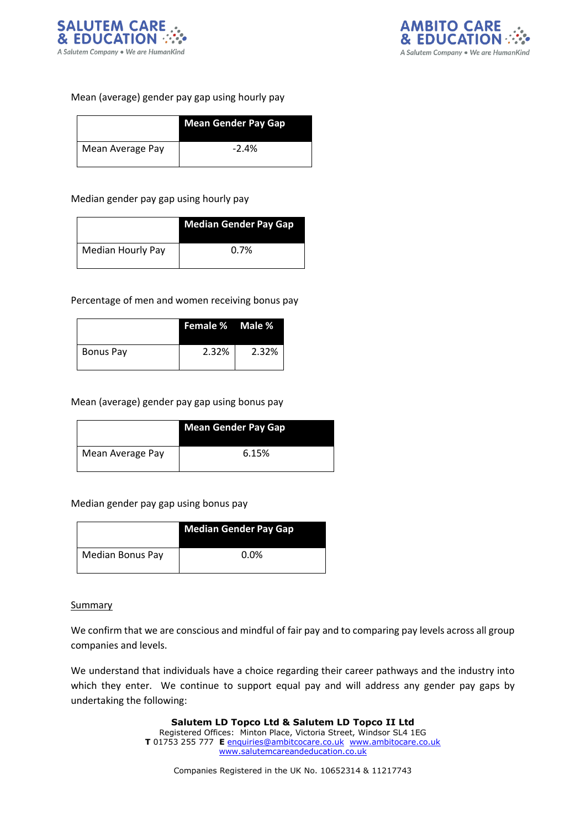



Mean (average) gender pay gap using hourly pay

|                  | <b>Mean Gender Pay Gap</b> |
|------------------|----------------------------|
| Mean Average Pay | $-2.4%$                    |

Median gender pay gap using hourly pay

|                   | <b>Median Gender Pay Gap</b> |
|-------------------|------------------------------|
| Median Hourly Pay | $0.7\%$                      |

Percentage of men and women receiving bonus pay

|           | <b>Female % Male %</b> |       |
|-----------|------------------------|-------|
| Bonus Pay | 2.32%                  | 2.32% |

Mean (average) gender pay gap using bonus pay

|                  | <b>Mean Gender Pay Gap</b> |
|------------------|----------------------------|
| Mean Average Pay | 6.15%                      |

Median gender pay gap using bonus pay

|                         | <b>Median Gender Pay Gap</b> |
|-------------------------|------------------------------|
| <b>Median Bonus Pay</b> | $0.0\%$                      |

### **Summary**

We confirm that we are conscious and mindful of fair pay and to comparing pay levels across all group companies and levels.

We understand that individuals have a choice regarding their career pathways and the industry into which they enter. We continue to support equal pay and will address any gender pay gaps by undertaking the following:

> **Salutem LD Topco Ltd & Salutem LD Topco II Ltd** Registered Offices: Minton Place, Victoria Street, Windsor SL4 1EG **T** 01753 255 777 **E** [enquiries@ambitcocare.co.uk](mailto:enquiries@ambitcocare.co.uk) [www.ambitocare.co.uk](http://www.ambitocare.co.uk/) www.salutemcareandeducation.co.uk

Companies Registered in the UK No. 10652314 & 11217743